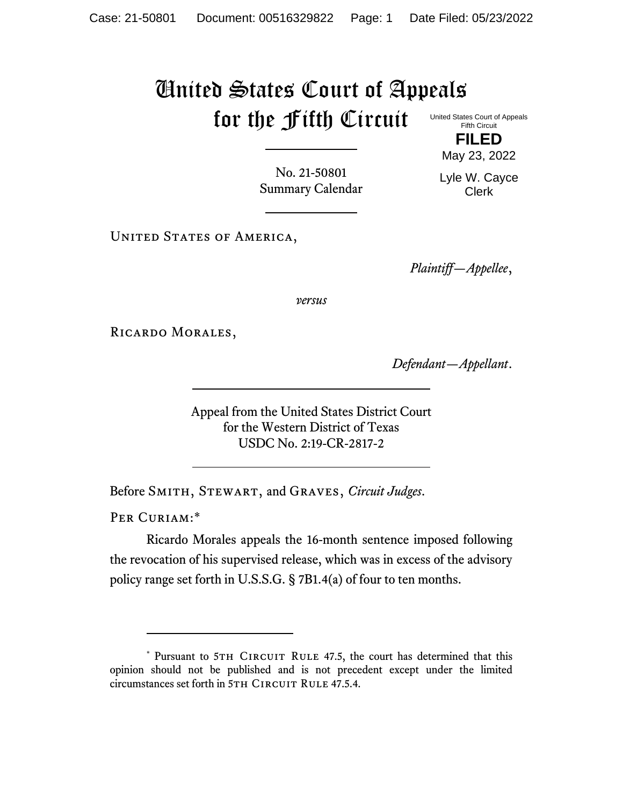## United States Court of Appeals for the Fifth Circuit United States Court of Appeals

Fifth Circuit **FILED**

No. 21-50801 Summary Calendar Lyle W. Cayce Clerk

May 23, 2022

UNITED STATES OF AMERICA,

*Plaintiff—Appellee*,

*versus*

Ricardo Morales,

*Defendant—Appellant*.

Appeal from the United States District Court for the Western District of Texas USDC No. 2:19-CR-2817-2

Before Smith, Stewart, and Graves, *Circuit Judges*.

PER CURIAM:\*

Ricardo Morales appeals the 16-month sentence imposed following the revocation of his supervised release, which was in excess of the advisory policy range set forth in U.S.S.G. § 7B1.4(a) of four to ten months.

<sup>\*</sup> Pursuant to 5TH CIRCUIT RULE 47.5, the court has determined that this opinion should not be published and is not precedent except under the limited circumstances set forth in 5TH CIRCUIT RULE 47.5.4.